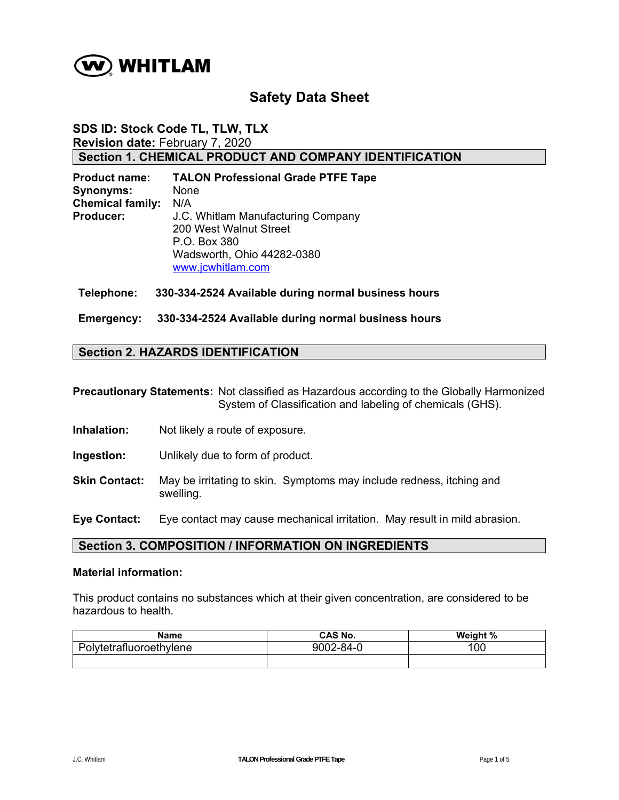

# **Safety Data Sheet**

## **SDS ID: Stock Code TL, TLW, TLX Revision date:** February 7, 2020 **Section 1. CHEMICAL PRODUCT AND COMPANY IDENTIFICATION**

| <b>Product name:</b>    | <b>TALON Professional Grade PTFE Tape</b> |
|-------------------------|-------------------------------------------|
| <b>Synonyms:</b>        | None                                      |
| <b>Chemical family:</b> | N/A                                       |
| Producer:               | J.C. Whitlam Manufacturing Company        |
|                         | 200 West Walnut Street                    |
|                         | P.O. Box 380                              |
|                         | Wadsworth, Ohio 44282-0380                |
|                         | www.jcwhitlam.com                         |

#### **Telephone: 330-334-2524 Available during normal business hours**

**Emergency: 330-334-2524 Available during normal business hours** 

## **Section 2. HAZARDS IDENTIFICATION**

**Precautionary Statements:** Not classified as Hazardous according to the Globally Harmonized System of Classification and labeling of chemicals (GHS).

- **Inhalation:** Not likely a route of exposure.
- **Ingestion:** Unlikely due to form of product.
- **Skin Contact:** May be irritating to skin. Symptoms may include redness, itching and swelling.

**Eye Contact:** Eye contact may cause mechanical irritation. May result in mild abrasion.

### **Section 3. COMPOSITION / INFORMATION ON INGREDIENTS**

#### **Material information:**

This product contains no substances which at their given concentration, are considered to be hazardous to health.

| Name                    | CAS No.   | Weight % |
|-------------------------|-----------|----------|
| Polytetrafluoroethylene | 9002-84-0 | 100      |
|                         |           |          |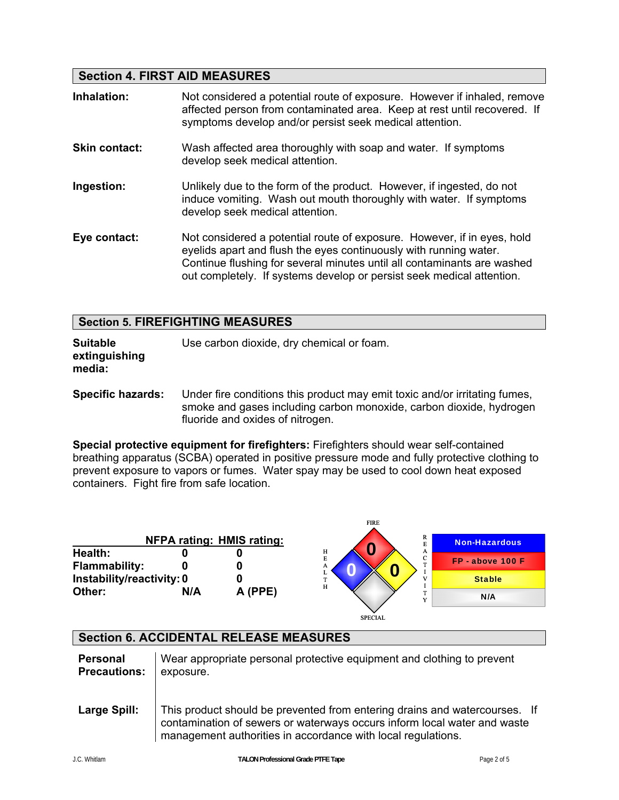## **Section 4. FIRST AID MEASURES**

| Inhalation:          | Not considered a potential route of exposure. However if inhaled, remove<br>affected person from contaminated area. Keep at rest until recovered. If<br>symptoms develop and/or persist seek medical attention.                                                                                  |
|----------------------|--------------------------------------------------------------------------------------------------------------------------------------------------------------------------------------------------------------------------------------------------------------------------------------------------|
| <b>Skin contact:</b> | Wash affected area thoroughly with soap and water. If symptoms<br>develop seek medical attention.                                                                                                                                                                                                |
| Ingestion:           | Unlikely due to the form of the product. However, if ingested, do not<br>induce vomiting. Wash out mouth thoroughly with water. If symptoms<br>develop seek medical attention.                                                                                                                   |
| Eye contact:         | Not considered a potential route of exposure. However, if in eyes, hold<br>eyelids apart and flush the eyes continuously with running water.<br>Continue flushing for several minutes until all contaminants are washed<br>out completely. If systems develop or persist seek medical attention. |

| <b>Section 5. FIREFIGHTING MEASURES</b> |  |
|-----------------------------------------|--|
|-----------------------------------------|--|

**Suitable** Use carbon dioxide, dry chemical or foam. **extinguishing media:** 

**Specific hazards:** Under fire conditions this product may emit toxic and/or irritating fumes, smoke and gases including carbon monoxide, carbon dioxide, hydrogen fluoride and oxides of nitrogen.

**Special protective equipment for firefighters:** Firefighters should wear self-contained breathing apparatus (SCBA) operated in positive pressure mode and fully protective clothing to prevent exposure to vapors or fumes. Water spay may be used to cool down heat exposed containers. Fight fire from safe location.

|                                 |     | <b>NFPA rating: HMIS rating:</b> | <b>FIRE</b><br>R                | <b>Non-Hazardous</b> |
|---------------------------------|-----|----------------------------------|---------------------------------|----------------------|
| Health:<br><b>Flammability:</b> |     |                                  | н<br>A<br>E<br>$\sim$<br>U<br>А | FP - above 100 F     |
| Instability/reactivity: 0       |     |                                  | $\, {\rm H}$                    | <b>Stable</b>        |
| Other:                          | N/A | A (PPE)                          | $\mathbf{v}$                    | N/A                  |
|                                 |     |                                  | <b>SPECIAL</b>                  |                      |

## **Section 6. ACCIDENTAL RELEASE MEASURES**

| Personal            | Wear appropriate personal protective equipment and clothing to prevent                                                                                                                                                 |
|---------------------|------------------------------------------------------------------------------------------------------------------------------------------------------------------------------------------------------------------------|
| <b>Precautions:</b> | exposure.                                                                                                                                                                                                              |
| Large Spill:        | This product should be prevented from entering drains and watercourses. If<br>contamination of sewers or waterways occurs inform local water and waste<br>management authorities in accordance with local regulations. |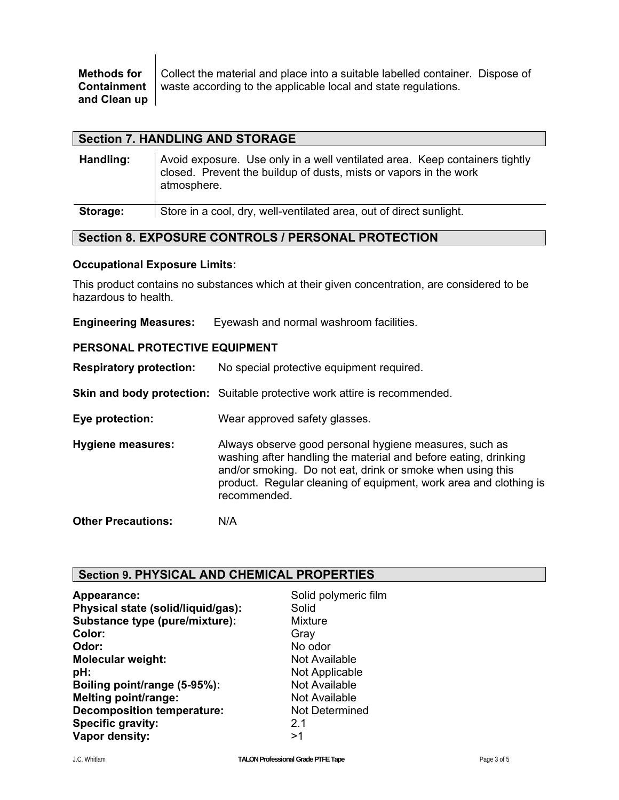|              | <b>Methods for</b> $\bigcup$ Collect the material and place into a suitable labelled container. Dispose of |  |
|--------------|------------------------------------------------------------------------------------------------------------|--|
|              | <b>Containment</b> waste according to the applicable local and state regulations.                          |  |
| and Clean up |                                                                                                            |  |

### **Section 7. HANDLING AND STORAGE**

| Handling: | Avoid exposure. Use only in a well ventilated area. Keep containers tightly<br>closed. Prevent the buildup of dusts, mists or vapors in the work<br>atmosphere. |
|-----------|-----------------------------------------------------------------------------------------------------------------------------------------------------------------|
| Storage:  | Store in a cool, dry, well-ventilated area, out of direct sunlight.                                                                                             |

## **Section 8. EXPOSURE CONTROLS / PERSONAL PROTECTION**

#### **Occupational Exposure Limits:**

This product contains no substances which at their given concentration, are considered to be hazardous to health.

**Engineering Measures:** Eyewash and normal washroom facilities.

#### **PERSONAL PROTECTIVE EQUIPMENT**

**Respiratory protection:** No special protective equipment required.

**Skin and body protection:** Suitable protective work attire is recommended.

**Eye protection:** Wear approved safety glasses.

**Hygiene measures:** Always observe good personal hygiene measures, such as washing after handling the material and before eating, drinking and/or smoking. Do not eat, drink or smoke when using this product. Regular cleaning of equipment, work area and clothing is recommended.

**Other Precautions:** N/A

## **Section 9. PHYSICAL AND CHEMICAL PROPERTIES**

| Appearance:                        | Solid polymeric film |
|------------------------------------|----------------------|
| Physical state (solid/liquid/gas): | Solid                |
| Substance type (pure/mixture):     | Mixture              |
| Color:                             | Gray                 |
| Odor:                              | No odor              |
| <b>Molecular weight:</b>           | Not Available        |
| pH:                                | Not Applicable       |
| Boiling point/range (5-95%):       | <b>Not Available</b> |
| <b>Melting point/range:</b>        | Not Available        |
| <b>Decomposition temperature:</b>  | Not Determined       |
| <b>Specific gravity:</b>           | 2.1                  |
| Vapor density:                     | >1                   |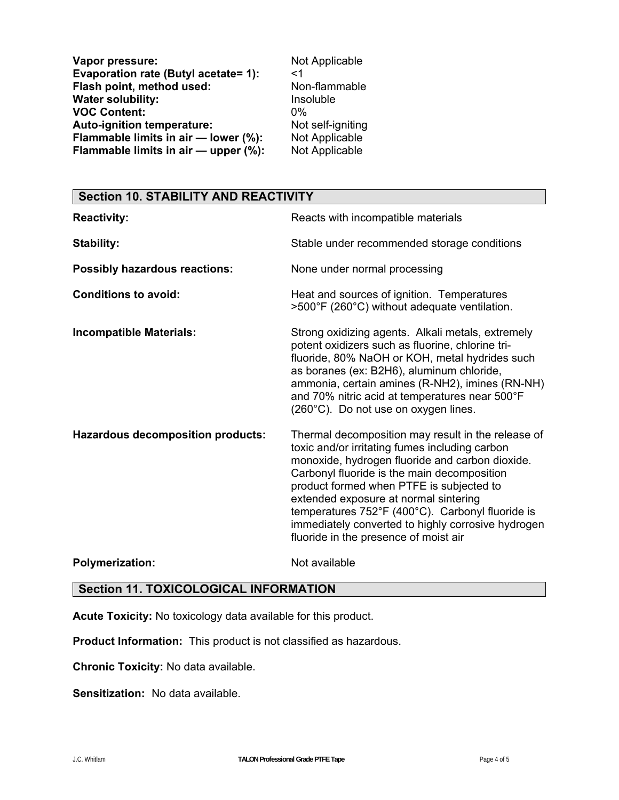| Vapor pressure:                      | Not Applicable    |
|--------------------------------------|-------------------|
| Evaporation rate (Butyl acetate= 1): | <1                |
| Flash point, method used:            | Non-flammable     |
| <b>Water solubility:</b>             | Insoluble         |
| <b>VOC Content:</b>                  | በ%                |
| Auto-ignition temperature:           | Not self-igniting |
| Flammable limits in air - lower (%): | Not Applicable    |
| Flammable limits in air - upper (%): | Not Applicable    |

# **Section 10. STABILITY AND REACTIVITY**

| <b>Reactivity:</b>                       | Reacts with incompatible materials                                                                                                                                                                                                                                                                                                                                                                                                             |
|------------------------------------------|------------------------------------------------------------------------------------------------------------------------------------------------------------------------------------------------------------------------------------------------------------------------------------------------------------------------------------------------------------------------------------------------------------------------------------------------|
| <b>Stability:</b>                        | Stable under recommended storage conditions                                                                                                                                                                                                                                                                                                                                                                                                    |
| <b>Possibly hazardous reactions:</b>     | None under normal processing                                                                                                                                                                                                                                                                                                                                                                                                                   |
| <b>Conditions to avoid:</b>              | Heat and sources of ignition. Temperatures<br>>500°F (260°C) without adequate ventilation.                                                                                                                                                                                                                                                                                                                                                     |
| <b>Incompatible Materials:</b>           | Strong oxidizing agents. Alkali metals, extremely<br>potent oxidizers such as fluorine, chlorine tri-<br>fluoride, 80% NaOH or KOH, metal hydrides such<br>as boranes (ex: B2H6), aluminum chloride,<br>ammonia, certain amines (R-NH2), imines (RN-NH)<br>and 70% nitric acid at temperatures near 500°F<br>(260°C). Do not use on oxygen lines.                                                                                              |
| <b>Hazardous decomposition products:</b> | Thermal decomposition may result in the release of<br>toxic and/or irritating fumes including carbon<br>monoxide, hydrogen fluoride and carbon dioxide.<br>Carbonyl fluoride is the main decomposition<br>product formed when PTFE is subjected to<br>extended exposure at normal sintering<br>temperatures 752°F (400°C). Carbonyl fluoride is<br>immediately converted to highly corrosive hydrogen<br>fluoride in the presence of moist air |
| <b>Polymerization:</b>                   | Not available                                                                                                                                                                                                                                                                                                                                                                                                                                  |

## **Section 11. TOXICOLOGICAL INFORMATION**

**Acute Toxicity:** No toxicology data available for this product.

**Product Information:** This product is not classified as hazardous.

**Chronic Toxicity:** No data available.

**Sensitization:** No data available.